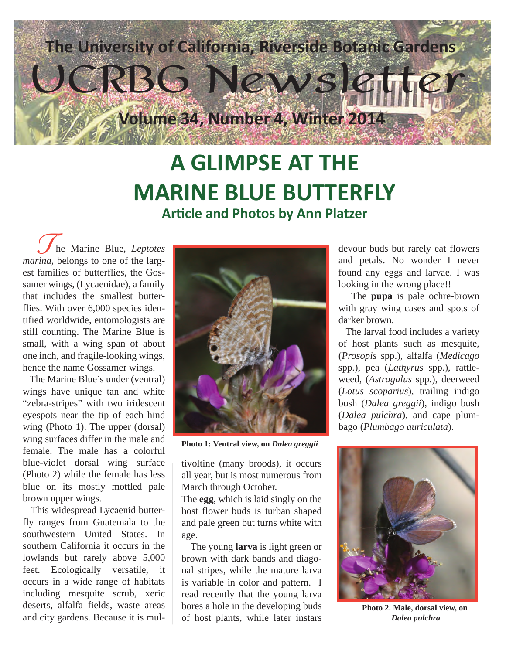

## **A GLIMPSE AT THE MARINE BLUE BUTTERFLY Article and Photos by Ann Platzer**

 he Marine Blue, *Leptotes marina*, belongs to one of the largest families of butterflies, the Gossamer wings, (Lycaenidae), a family that includes the smallest butterflies. With over 6,000 species identified worldwide, entomologists are still counting. The Marine Blue is small, with a wing span of about one inch, and fragile-looking wings, hence the name Gossamer wings. The Marine Blue, *Leptotes*<br>
The Marine Blue, *Leptotes*<br>
The devour buds but rarely eat flowers<br>
and petals No wonder I never

 The Marine Blue's under (ventral) wings have unique tan and white "zebra-stripes" with two iridescent eyespots near the tip of each hind wing (Photo 1). The upper (dorsal) wing surfaces differ in the male and female. The male has a colorful blue-violet dorsal wing surface (Photo 2) while the female has less blue on its mostly mottled pale brown upper wings.

 This widespread Lycaenid butterfly ranges from Guatemala to the southwestern United States. In southern California it occurs in the lowlands but rarely above 5,000 feet. Ecologically versatile, it occurs in a wide range of habitats including mesquite scrub, xeric deserts, alfalfa fields, waste areas and city gardens. Because it is mul-



**Photo 1: Ventral view, on** *Dalea greggii*

tivoltine (many broods), it occurs all year, but is most numerous from March through October.

The **egg**, which is laid singly on the host flower buds is turban shaped and pale green but turns white with age.

 The young **larva** is light green or brown with dark bands and diagonal stripes, while the mature larva is variable in color and pattern. I read recently that the young larva bores a hole in the developing buds of host plants, while later instars and petals. No wonder I never found any eggs and larvae. I was looking in the wrong place!!

 The **pupa** is pale ochre-brown with gray wing cases and spots of darker brown.

 The larval food includes a variety of host plants such as mesquite, (*Prosopis* spp.), alfalfa (*Medicago*  spp.), pea (*Lathyrus* spp.), rattleweed, (*Astragalus* spp.), deerweed (*Lotus scoparius*), trailing indigo bush (*Dalea greggii*), indigo bush (*Dalea pulchra*), and cape plumbago (*Plumbago auriculata*).



**Photo 2. Male, dorsal view, on**  *Dalea pulchra*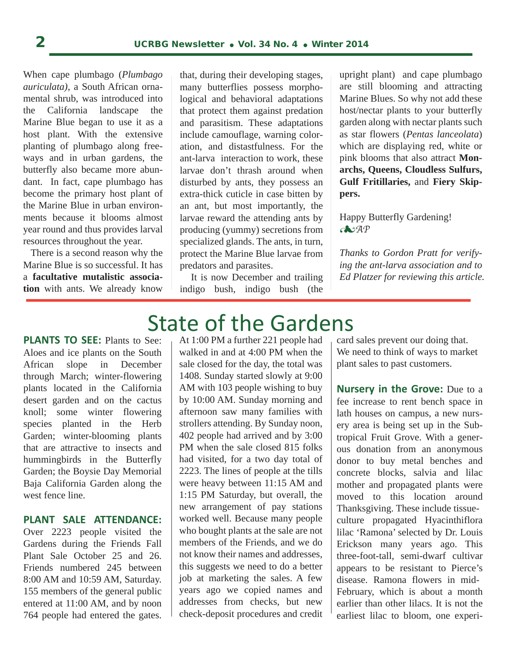When cape plumbago (*Plumbago auriculata)*, a South African ornamental shrub, was introduced into the California landscape the Marine Blue began to use it as a host plant. With the extensive planting of plumbago along freeways and in urban gardens, the butterfly also became more abundant. In fact, cape plumbago has become the primary host plant of the Marine Blue in urban environments because it blooms almost year round and thus provides larval resources throughout the year.

 There is a second reason why the Marine Blue is so successful. It has a **facultative mutalistic association** with ants. We already know

that, during their developing stages, many butterflies possess morphological and behavioral adaptations that protect them against predation and parasitism. These adaptations include camouflage, warning coloration, and distastfulness. For the ant-larva interaction to work, these larvae don't thrash around when disturbed by ants, they possess an extra-thick cuticle in case bitten by an ant, but most importantly, the larvae reward the attending ants by producing (yummy) secretions from specialized glands. The ants, in turn, protect the Marine Blue larvae from predators and parasites.

 It is now December and trailing indigo bush, indigo bush (the upright plant) and cape plumbago are still blooming and attracting Marine Blues. So why not add these host/nectar plants to your butterfly garden along with nectar plants such as star flowers (*Pentas lanceolata*) which are displaying red, white or pink blooms that also attract **Monarchs, Queens, Cloudless Sulfurs, Gulf Fritillaries,** and **Fiery Skippers.**

Happy Butterfly Gardening! *AP*

j

*Thanks to Gordon Pratt for verifying the ant-larva association and to Ed Platzer for reviewing this article.*

**PLANTS TO SEE:** Plants to See: Aloes and ice plants on the South African slope in December through March; winter-flowering plants located in the California desert garden and on the cactus knoll; some winter flowering species planted in the Herb Garden; winter-blooming plants that are attractive to insects and hummingbirds in the Butterfly Garden; the Boysie Day Memorial Baja California Garden along the west fence line.

### **PLANT SALE ATTENDANCE:**

Over 2223 people visited the Gardens during the Friends Fall Plant Sale October 25 and 26. Friends numbered 245 between 8:00 AM and 10:59 AM, Saturday. 155 members of the general public entered at 11:00 AM, and by noon 764 people had entered the gates.

# State of the Gardens

At 1:00 PM a further 221 people had walked in and at 4:00 PM when the sale closed for the day, the total was 1408. Sunday started slowly at 9:00 AM with 103 people wishing to buy by 10:00 AM. Sunday morning and afternoon saw many families with strollers attending. By Sunday noon, 402 people had arrived and by 3:00 PM when the sale closed 815 folks had visited, for a two day total of 2223. The lines of people at the tills were heavy between 11:15 AM and 1:15 PM Saturday, but overall, the new arrangement of pay stations worked well. Because many people who bought plants at the sale are not members of the Friends, and we do not know their names and addresses, this suggests we need to do a better job at marketing the sales. A few years ago we copied names and addresses from checks, but new check-deposit procedures and credit

card sales prevent our doing that. We need to think of ways to market plant sales to past customers.

**Nursery in the Grove:** Due to a fee increase to rent bench space in lath houses on campus, a new nursery area is being set up in the Subtropical Fruit Grove. With a generous donation from an anonymous donor to buy metal benches and concrete blocks, salvia and lilac mother and propagated plants were moved to this location around Thanksgiving. These include tissueculture propagated Hyacinthiflora lilac 'Ramona' selected by Dr. Louis Erickson many years ago. This three-foot-tall, semi-dwarf cultivar appears to be resistant to Pierce's disease. Ramona flowers in mid-February, which is about a month earlier than other lilacs. It is not the earliest lilac to bloom, one experi-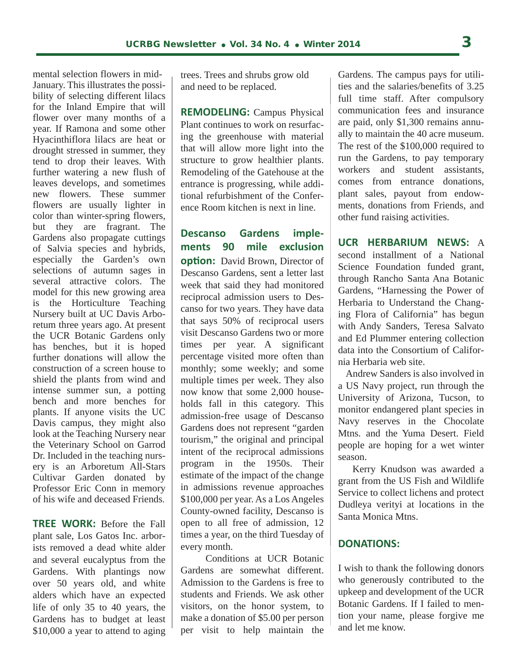mental selection flowers in mid-January. This illustrates the possibility of selecting different lilacs for the Inland Empire that will flower over many months of a year. If Ramona and some other Hyacinthiflora lilacs are heat or drought stressed in summer, they tend to drop their leaves. With further watering a new flush of leaves develops, and sometimes new flowers. These summer flowers are usually lighter in color than winter-spring flowers, but they are fragrant. The Gardens also propagate cuttings of Salvia species and hybrids, especially the Garden's own selections of autumn sages in several attractive colors. The model for this new growing area is the Horticulture Teaching Nursery built at UC Davis Arboretum three years ago. At present the UCR Botanic Gardens only has benches, but it is hoped further donations will allow the construction of a screen house to shield the plants from wind and intense summer sun, a potting bench and more benches for plants. If anyone visits the UC Davis campus, they might also look at the Teaching Nursery near the Veterinary School on Garrod Dr. Included in the teaching nursery is an Arboretum All-Stars Cultivar Garden donated by Professor Eric Conn in memory of his wife and deceased Friends.

**TREE WORK:** Before the Fall plant sale, Los Gatos Inc. arborists removed a dead white alder and several eucalyptus from the Gardens. With plantings now over 50 years old, and white alders which have an expected life of only 35 to 40 years, the Gardens has to budget at least \$10,000 a year to attend to aging

trees. Trees and shrubs grow old and need to be replaced.

**REMODELING:** Campus Physical Plant continues to work on resurfacing the greenhouse with material that will allow more light into the structure to grow healthier plants. Remodeling of the Gatehouse at the entrance is progressing, while additional refurbishment of the Conference Room kitchen is next in line.

**Descanso Gardens implements 90 mile exclusion option:** David Brown, Director of Descanso Gardens, sent a letter last week that said they had monitored reciprocal admission users to Descanso for two years. They have data that says 50% of reciprocal users visit Descanso Gardens two or more times per year. A significant percentage visited more often than monthly; some weekly; and some multiple times per week. They also now know that some 2,000 households fall in this category. This admission-free usage of Descanso Gardens does not represent "garden tourism," the original and principal intent of the reciprocal admissions program in the 1950s. Their estimate of the impact of the change in admissions revenue approaches \$100,000 per year. As a Los Angeles County-owned facility, Descanso is open to all free of admission, 12 times a year, on the third Tuesday of every month.

 Conditions at UCR Botanic Gardens are somewhat different. Admission to the Gardens is free to students and Friends. We ask other visitors, on the honor system, to make a donation of \$5.00 per person per visit to help maintain the

Gardens. The campus pays for utilities and the salaries/benefits of 3.25 full time staff. After compulsory communication fees and insurance are paid, only \$1,300 remains annually to maintain the 40 acre museum. The rest of the \$100,000 required to run the Gardens, to pay temporary workers and student assistants, comes from entrance donations, plant sales, payout from endowments, donations from Friends, and other fund raising activities.

**UCR HERBARIUM NEWS:** A second installment of a National Science Foundation funded grant, through Rancho Santa Ana Botanic Gardens, "Harnessing the Power of Herbaria to Understand the Changing Flora of California" has begun with Andy Sanders, Teresa Salvato and Ed Plummer entering collection data into the Consortium of California Herbaria web site.

 Andrew Sanders is also involved in a US Navy project, run through the University of Arizona, Tucson, to monitor endangered plant species in Navy reserves in the Chocolate Mtns. and the Yuma Desert. Field people are hoping for a wet winter season.

 Kerry Knudson was awarded a grant from the US Fish and Wildlife Service to collect lichens and protect Dudleya verityi at locations in the Santa Monica Mtns.

### **DONATIONS:**

I wish to thank the following donors who generously contributed to the upkeep and development of the UCR Botanic Gardens. If I failed to mention your name, please forgive me and let me know.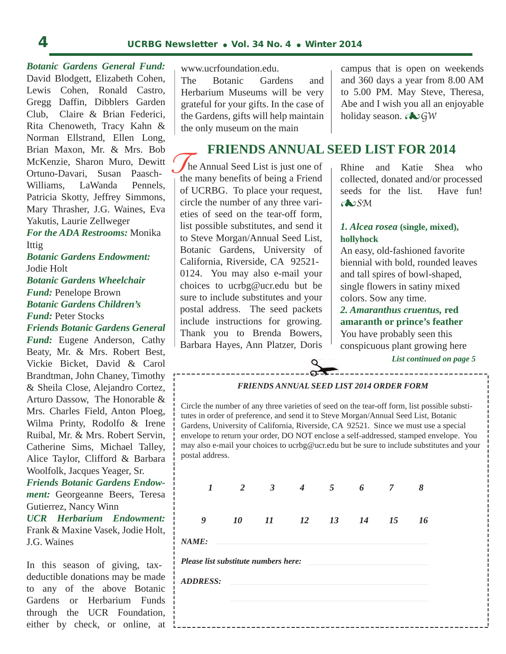*Botanic Gardens General Fund:* David Blodgett, Elizabeth Cohen, Lewis Cohen, Ronald Castro, Gregg Daffin, Dibblers Garden Club, Claire & Brian Federici, Rita Chenoweth, Tracy Kahn & Norman Ellstrand, Ellen Long, Brian Maxon, Mr. & Mrs. Bob McKenzie, Sharon Muro, Dewitt Ortuno-Davari, Susan Paasch-Williams, LaWanda Pennels, Patricia Skotty, Jeffrey Simmons, Mary Thrasher, J.G. Waines, Eva Yakutis, Laurie Zellweger

*For the ADA Restrooms:* Monika Ittig

*Botanic Gardens Endowment:* Jodie Holt *Botanic Gardens Wheelchair Fund:* Penelope Brown *Botanic Gardens Children's Fund:* Peter Stocks

*Friends Botanic Gardens General Fund:* Eugene Anderson, Cathy Beaty, Mr. & Mrs. Robert Best, Vickie Bicket, David & Carol Brandtman, John Chaney, Timothy & Sheila Close, Alejandro Cortez, Arturo Dassow, The Honorable & Mrs. Charles Field, Anton Ploeg, Wilma Printy, Rodolfo & Irene Ruibal, Mr. & Mrs. Robert Servin, Catherine Sims, Michael Talley, Alice Taylor, Clifford & Barbara Woolfolk, Jacques Yeager, Sr.

*Friends Botanic Gardens Endowment:* Georgeanne Beers, Teresa Gutierrez, Nancy Winn

*UCR Herbarium Endowment:* Frank & Maxine Vasek, Jodie Holt, J.G. Waines

In this season of giving, taxdeductible donations may be made to any of the above Botanic Gardens or Herbarium Funds through the UCR Foundation, either by check, or online, at  $l_{--}$ 

www.ucrfoundation.edu.

The Botanic Gardens and Herbarium Museums will be very grateful for your gifts. In the case of the Gardens, gifts will help maintain the only museum on the main

campus that is open on weekends and 360 days a year from 8.00 AM to 5.00 PM. May Steve, Theresa, Abe and I wish you all an enjoyable holiday season. *GW*

### **FRIENDS ANNUAL SEED LIST FOR 2014**

THE NEWSTAN CITE<br>
the many benefits of being a Friend he Annual Seed List is just one of of UCRBG. To place your request, circle the number of any three varieties of seed on the tear-off form, list possible substitutes, and send it to Steve Morgan/Annual Seed List, Botanic Gardens, University of California, Riverside, CA 92521- 0124. You may also e-mail your choices to ucrbg@ucr.edu but be sure to include substitutes and your postal address. The seed packets include instructions for growing. Thank you to Brenda Bowers, Barbara Hayes, Ann Platzer, Doris

Rhine and Katie Shea who collected, donated and/or processed seeds for the list. Have fun! *SM*

### *1. Alcea rosea* **(single, mixed), hollyhock**

An easy, old-fashioned favorite biennial with bold, rounded leaves and tall spires of bowl-shaped, single flowers in satiny mixed colors. Sow any time.

*2. Amaranthus cruentus,* **red amaranth or prince's feather** You have probably seen this conspicuous plant growing here

*List continued on page 5*

#### *FRIENDS ANNUAL SEED LIST 2014 ORDER FORM*

Circle the number of any three varieties of seed on the tear-off form, list possible substitutes in order of preference, and send it to Steve Morgan/Annual Seed List, Botanic Gardens, University of California, Riverside, CA 92521. Since we must use a special envelope to return your order, DO NOT enclose a self-addressed, stamped envelope. You may also e-mail your choices to ucrbg@ucr.edu but be sure to include substitutes and your postal address.

| $\bm{l}$                             | 2 3 | $4\quad 5\quad 6$    |  | $\overline{7}$ | - 8 |
|--------------------------------------|-----|----------------------|--|----------------|-----|
| 9                                    |     | 10 11 12 13 14 15 16 |  |                |     |
| NAME:                                |     |                      |  |                |     |
| Please list substitute numbers here: |     |                      |  |                |     |
| <b>ADDRESS:</b>                      |     |                      |  |                |     |
|                                      |     |                      |  |                |     |
|                                      |     |                      |  |                |     |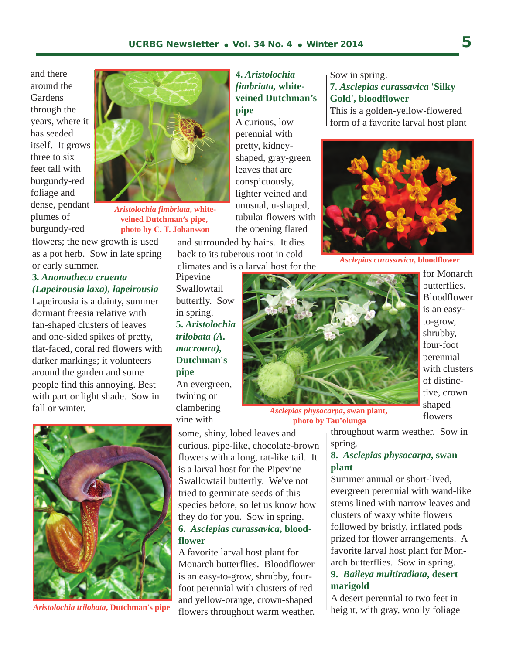and there around the **Gardens** through the years, where it has seeded itself. It grows three to six feet tall with burgundy-red foliage and dense, pendant plumes of burgundy-red



*Aristolochia fimbriata***, whiteveined Dutchman's pipe, photo by C. T. Johansson**

flowers; the new growth is used as a pot herb. Sow in late spring or early summer.

### **3***. Anomatheca cruenta (Lapeirousia laxa), lapeirousia*

Lapeirousia is a dainty, summer dormant freesia relative with fan-shaped clusters of leaves and one-sided spikes of pretty, flat-faced, coral red flowers with darker markings; it volunteers around the garden and some people find this annoying. Best with part or light shade. Sow in fall or winter.



*Aristolochia trilobata***, Dutchman's pipe**

### **4.** *Aristolochia fimbriata,* **whiteveined Dutchman's pipe**

A curious, low perennial with pretty, kidneyshaped, gray-green leaves that are conspicuously, lighter veined and unusual, u-shaped, tubular flowers with the opening flared

and surrounded by hairs. It dies back to its tuberous root in cold climates and is a larval host for the

Pipevine Swallowtail butterfly. Sow in spring. **5.** *Aristolochia trilobata (A. macroura),*  **Dutchman's pipe**  An evergreen, twining or clambering

vine with



*Asclepias physocarpa***, swan plant, photo by Tau'olunga**

some, shiny, lobed leaves and curious, pipe-like, chocolate-brown flowers with a long, rat-like tail. It is a larval host for the Pipevine Swallowtail butterfly. We've not tried to germinate seeds of this species before, so let us know how they do for you. Sow in spring. **6.** *Asclepias curassavica***, bloodflower** 

A favorite larval host plant for Monarch butterflies. Bloodflower is an easy-to-grow, shrubby, fourfoot perennial with clusters of red and yellow-orange, crown-shaped flowers throughout warm weather.

Sow in spring. **7.** *Asclepias curassavica* **'Silky Gold', bloodflower** 

This is a golden-yellow-flowered form of a favorite larval host plant



*Asclepias curassavica***, bloodflower**

for Monarch butterflies. Bloodflower is an easyto-grow, shrubby, four-foot perennial with clusters of distinctive, crown shaped flowers

throughout warm weather. Sow in

#### spring. **8.** *Asclepias physocarpa***, swan**

### **plant**

Summer annual or short-lived, evergreen perennial with wand-like stems lined with narrow leaves and clusters of waxy white flowers followed by bristly, inflated pods prized for flower arrangements. A favorite larval host plant for Monarch butterflies. Sow in spring. **9.** *Baileya multiradiata***, desert** 

### **marigold**

A desert perennial to two feet in height, with gray, woolly foliage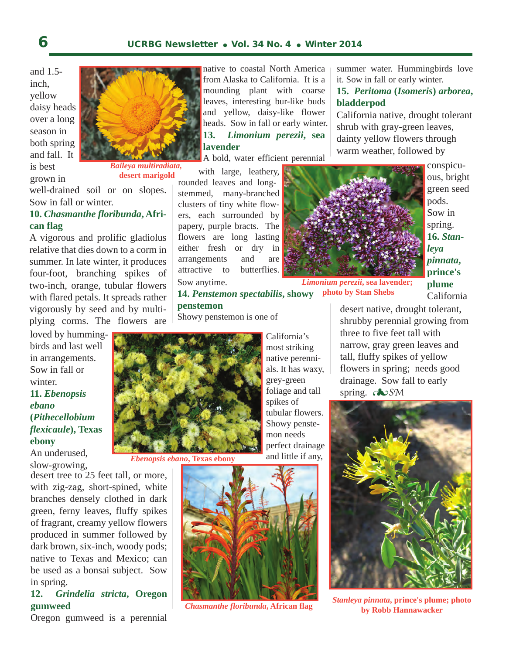and 1.5 inch, yellow daisy heads over a long season in both spring and fall. It is best

grown in



*Baileya multiradiata,*  **desert marigold**

well-drained soil or on slopes. Sow in fall or winter.

### **10.** *Chasmanthe floribunda***, African flag**

A vigorous and prolific gladiolus relative that dies down to a corm in summer. In late winter, it produces four-foot, branching spikes of two-inch, orange, tubular flowers with flared petals. It spreads rather vigorously by seed and by multiplying corms. The flowers are

loved by hummingbirds and last well in arrangements. Sow in fall or winter. **11.** *Ebenopsis ebano* 

**(***Pithecellobium flexicaule***), Texas ebony** 

An underused, slow-growing,

desert tree to 25 feet tall, or more, with zig-zag, short-spined, white branches densely clothed in dark green, ferny leaves, fluffy spikes of fragrant, creamy yellow flowers produced in summer followed by dark brown, six-inch, woody pods; native to Texas and Mexico; can be used as a bonsai subject. Sow in spring.

### **12.** *Grindelia stricta***, Oregon gumweed**

Oregon gumweed is a perennial

native to coastal North America from Alaska to California. It is a mounding plant with coarse leaves, interesting bur-like buds and yellow, daisy-like flower heads. Sow in fall or early winter. **13.** *Limonium perezii***, sea lavender** 

A bold, water efficient perennial

 with large, leathery, rounded leaves and longstemmed, many-branched clusters of tiny white flowers, each surrounded by papery, purple bracts. The flowers are long lasting either fresh or dry in arrangements and are attractive to butterflies. Sow anytime.

summer water. Hummingbirds love it. Sow in fall or early winter.

### **15.** *Peritoma* **(***Isomeris***)** *arborea***, bladderpod**

California native, drought tolerant shrub with gray-green leaves, dainty yellow flowers through warm weather, followed by



conspicuous, bright green seed pods. Sow in spring. **16.** *Stanleya pinnata***, prince's plume** California

*Limonium perezii***, sea lavender; photo by Stan Shebs**

**14.** *Penstemon spectabilis***, showy penstemon**  desert native, drought tolerant,

Showy penstemon is one of



*Ebenopsis ebano***, Texas ebony**

California's most striking native perennials. It has waxy, grey-green foliage and tall spikes of tubular flowers. Showy penstemon needs perfect drainage and little if any,



*Chasmanthe floribunda***, African flag**

shrubby perennial growing from three to five feet tall with narrow, gray green leaves and tall, fluffy spikes of yellow flowers in spring; needs good drainage. Sow fall to early spring. **EXP**SM



 *Stanleya pinnata***, prince's plume; photo by Robb Hannawacker**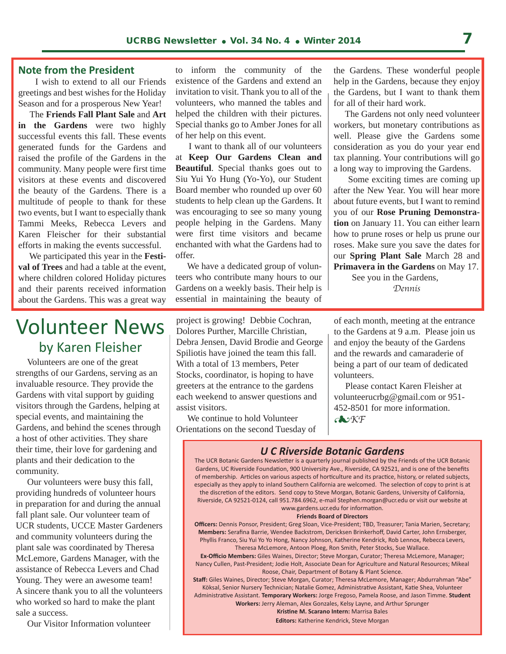### **Note from the President**

 I wish to extend to all our Friends greetings and best wishes for the Holiday Season and for a prosperous New Year!

 The **Friends Fall Plant Sale** and **Art in the Gardens** were two highly successful events this fall. These events generated funds for the Gardens and raised the profile of the Gardens in the community. Many people were first time visitors at these events and discovered the beauty of the Gardens. There is a multitude of people to thank for these two events, but I want to especially thank Tammi Meeks, Rebecca Levers and Karen Fleischer for their substantial efforts in making the events successful.

 We participated this year in the **Festival of Trees** and had a table at the event, where children colored Holiday pictures and their parents received information about the Gardens. This was a great way

to inform the community of the existence of the Gardens and extend an invitation to visit. Thank you to all of the volunteers, who manned the tables and helped the children with their pictures. Special thanks go to Amber Jones for all of her help on this event.

 I want to thank all of our volunteers at **Keep Our Gardens Clean and Beautiful**. Special thanks goes out to Siu Yui Yo Hung (Yo-Yo), our Student Board member who rounded up over 60 students to help clean up the Gardens. It was encouraging to see so many young people helping in the Gardens. Many were first time visitors and became enchanted with what the Gardens had to offer.

 We have a dedicated group of volunteers who contribute many hours to our Gardens on a weekly basis. Their help is essential in maintaining the beauty of

the Gardens. These wonderful people help in the Gardens, because they enjoy the Gardens, but I want to thank them for all of their hard work.

 The Gardens not only need volunteer workers, but monetary contributions as well. Please give the Gardens some consideration as you do your year end tax planning. Your contributions will go a long way to improving the Gardens.

 Some exciting times are coming up after the New Year. You will hear more about future events, but I want to remind you of our **Rose Pruning Demonstration** on January 11. You can either learn how to prune roses or help us prune our roses. Make sure you save the dates for our **Spring Plant Sale** March 28 and **Primavera in the Gardens** on May 17.

 See you in the Gardens, *Dennis*

### Volunteer News by Karen Fleisher

 Volunteers are one of the great strengths of our Gardens, serving as an invaluable resource. They provide the Gardens with vital support by guiding visitors through the Gardens, helping at special events, and maintaining the Gardens, and behind the scenes through a host of other activities. They share their time, their love for gardening and plants and their dedication to the community.

 Our volunteers were busy this fall, providing hundreds of volunteer hours in preparation for and during the annual fall plant sale. Our volunteer team of UCR students, UCCE Master Gardeners and community volunteers during the plant sale was coordinated by Theresa McLemore, Gardens Manager, with the assistance of Rebecca Levers and Chad Young. They were an awesome team! A sincere thank you to all the volunteers who worked so hard to make the plant sale a success.

Our Visitor Information volunteer

project is growing! Debbie Cochran, Dolores Purther, Marcille Christian, Debra Jensen, David Brodie and George Spiliotis have joined the team this fall. With a total of 13 members, Peter Stocks, coordinator, is hoping to have greeters at the entrance to the gardens each weekend to answer questions and assist visitors.

 We continue to hold Volunteer Orientations on the second Tuesday of of each month, meeting at the entrance to the Gardens at 9 a.m. Please join us and enjoy the beauty of the Gardens and the rewards and camaraderie of being a part of our team of dedicated volunteers.

 Please contact Karen Fleisher at volunteerucrbg@gmail.com or 951- 452-8501 for more information. *KF*

### *U C Riverside Botanic Gardens*

The UCR Botanic Gardens Newsletter is a quarterly journal published by the Friends of the UCR Botanic Gardens, UC Riverside Foundation, 900 University Ave., Riverside, CA 92521, and is one of the benefits of membership. Articles on various aspects of horticulture and its practice, history, or related subjects, especially as they apply to inland Southern California are welcomed. The selection of copy to print is at the discretion of the editors. Send copy to Steve Morgan, Botanic Gardens, University of California, Riverside, CA 92521-0124, call 951.784.6962, e-mail Stephen.morgan@ucr.edu or visit our website at www.gardens.ucr.edu for information.

#### **Friends Board of Directors**

**Officers:** Dennis Ponsor, President; Greg Sloan, Vice-President; TBD, Treasurer; Tania Marien, Secretary; **Members:** Serafina Barrie, Wendee Backstrom, Dericksen Brinkerhoff, David Carter, John Ernsberger, Phyllis Franco, Siu Yui Yo Yo Hong, Nancy Johnson, Katherine Kendrick, Rob Lennox, Rebecca Levers, Theresa McLemore, Antoon Ploeg, Ron Smith, Peter Stocks, Sue Wallace.

**Ex-Officio Members:** Giles Waines, Director; Steve Morgan, Curator; Theresa McLemore, Manager; Nancy Cullen, Past-President; Jodie Holt, Associate Dean for Agriculture and Natural Resources; Mikeal Roose, Chair, Department of Botany & Plant Science.

**Staff:** Giles Waines, Director; Steve Morgan, Curator; Theresa McLemore, Manager; Abdurrahman "Abe" Köksal, Senior Nursery Technician; Natalie Gomez, Administrative Assistant, Katie Shea, Volunteer Administrative Assistant. **Temporary Workers:** Jorge Fregoso, Pamela Roose, and Jason Timme. **Student** 

**Workers:** Jerry Aleman, Alex Gonzales, Kelsy Layne, and Arthur Sprunger

**Kristine M. Scarano Intern:** Marrisa Bales **Editors:** Katherine Kendrick, Steve Morgan